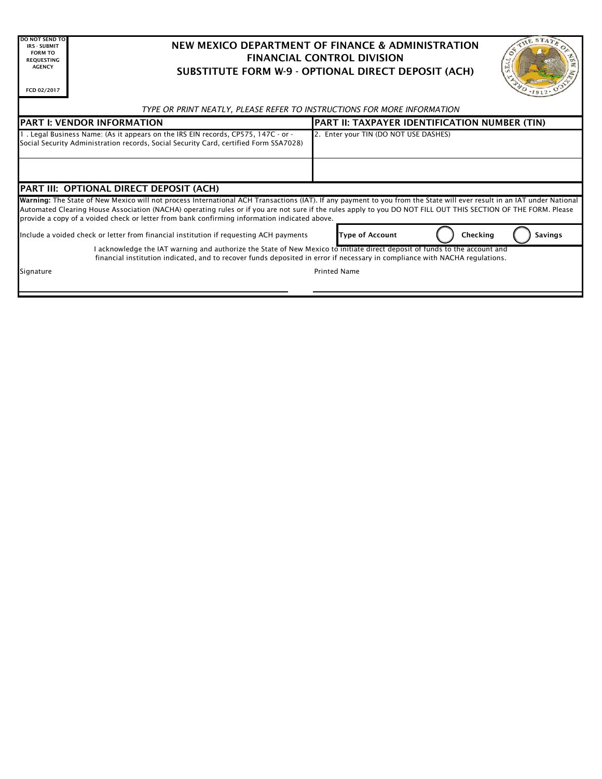| <b>DO NOT SEND TO</b><br><b>IRS - SUBMIT</b><br><b>FORM TO</b><br><b>REOUESTING</b><br><b>AGENCY</b><br>FCD 02/2017                                                                                                                                                                                                                                                                                                                      | HE STA<br>NEW MEXICO DEPARTMENT OF FINANCE & ADMINISTRATION<br><b>FINANCIAL CONTROL DIVISION</b><br>SUBSTITUTE FORM W-9 - OPTIONAL DIRECT DEPOSIT (ACH) |                                                      |                |
|------------------------------------------------------------------------------------------------------------------------------------------------------------------------------------------------------------------------------------------------------------------------------------------------------------------------------------------------------------------------------------------------------------------------------------------|---------------------------------------------------------------------------------------------------------------------------------------------------------|------------------------------------------------------|----------------|
| TYPE OR PRINT NEATLY, PLEASE REFER TO INSTRUCTIONS FOR MORE INFORMATION                                                                                                                                                                                                                                                                                                                                                                  |                                                                                                                                                         |                                                      |                |
| <b>IPART I: VENDOR INFORMATION</b>                                                                                                                                                                                                                                                                                                                                                                                                       |                                                                                                                                                         | <b>PART II: TAXPAYER IDENTIFICATION NUMBER (TIN)</b> |                |
| . Legal Business Name: (As it appears on the IRS EIN records, CP575, 147C - or -<br>Social Security Administration records, Social Security Card, certified Form SSA7028)                                                                                                                                                                                                                                                                |                                                                                                                                                         | 2. Enter your TIN (DO NOT USE DASHES)                |                |
|                                                                                                                                                                                                                                                                                                                                                                                                                                          |                                                                                                                                                         |                                                      |                |
| PART III: OPTIONAL DIRECT DEPOSIT (ACH)                                                                                                                                                                                                                                                                                                                                                                                                  |                                                                                                                                                         |                                                      |                |
| Warning: The State of New Mexico will not process International ACH Transactions (IAT). If any payment to you from the State will ever result in an IAT under National<br>Automated Clearing House Association (NACHA) operating rules or if you are not sure if the rules apply to you DO NOT FILL OUT THIS SECTION OF THE FORM. Please<br>provide a copy of a voided check or letter from bank confirming information indicated above. |                                                                                                                                                         |                                                      |                |
|                                                                                                                                                                                                                                                                                                                                                                                                                                          | Include a voided check or letter from financial institution if requesting ACH payments                                                                  | Checking<br><b>Type of Account</b>                   | <b>Savings</b> |
| I acknowledge the IAT warning and authorize the State of New Mexico to initiate direct deposit of funds to the account and<br>financial institution indicated, and to recover funds deposited in error if necessary in compliance with NACHA regulations.                                                                                                                                                                                |                                                                                                                                                         |                                                      |                |
| Signature                                                                                                                                                                                                                                                                                                                                                                                                                                |                                                                                                                                                         | <b>Printed Name</b>                                  |                |